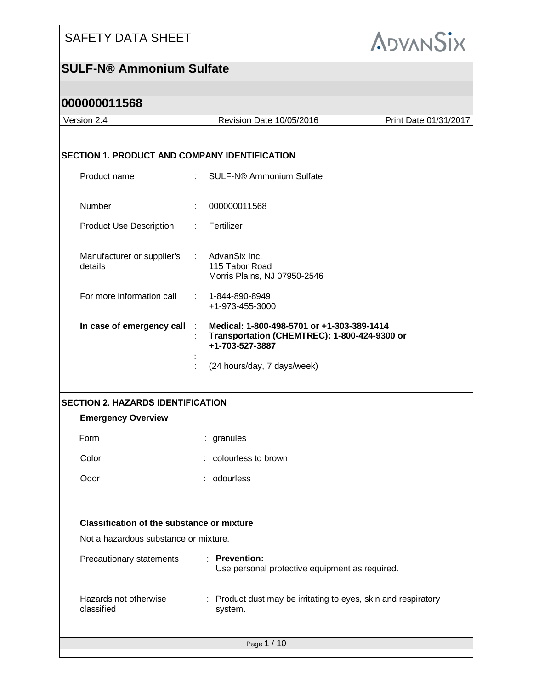

|                           | Revision Date 10/05/2016                                                | Print Date 01/31/2017                                                                                                                                                                                                                                                                                       |
|---------------------------|-------------------------------------------------------------------------|-------------------------------------------------------------------------------------------------------------------------------------------------------------------------------------------------------------------------------------------------------------------------------------------------------------|
|                           |                                                                         |                                                                                                                                                                                                                                                                                                             |
|                           |                                                                         |                                                                                                                                                                                                                                                                                                             |
| $\mathbb{R}^{\mathbb{Z}}$ | SULF-N® Ammonium Sulfate                                                |                                                                                                                                                                                                                                                                                                             |
|                           | 000000011568                                                            |                                                                                                                                                                                                                                                                                                             |
| $\mathbb{Z}^{n}$          |                                                                         |                                                                                                                                                                                                                                                                                                             |
| $\mathbb{Z}^{\times}$     | 115 Tabor Road<br>Morris Plains, NJ 07950-2546                          |                                                                                                                                                                                                                                                                                                             |
|                           | +1-973-455-3000                                                         |                                                                                                                                                                                                                                                                                                             |
| In case of emergency call | +1-703-527-3887                                                         |                                                                                                                                                                                                                                                                                                             |
|                           | (24 hours/day, 7 days/week)                                             |                                                                                                                                                                                                                                                                                                             |
|                           |                                                                         |                                                                                                                                                                                                                                                                                                             |
|                           |                                                                         |                                                                                                                                                                                                                                                                                                             |
|                           |                                                                         |                                                                                                                                                                                                                                                                                                             |
|                           |                                                                         |                                                                                                                                                                                                                                                                                                             |
|                           |                                                                         |                                                                                                                                                                                                                                                                                                             |
|                           |                                                                         |                                                                                                                                                                                                                                                                                                             |
|                           |                                                                         |                                                                                                                                                                                                                                                                                                             |
|                           | <b>Classification of the substance or mixture</b>                       |                                                                                                                                                                                                                                                                                                             |
|                           | Not a hazardous substance or mixture.                                   |                                                                                                                                                                                                                                                                                                             |
|                           | : Prevention:<br>Use personal protective equipment as required.         |                                                                                                                                                                                                                                                                                                             |
|                           | Product dust may be irritating to eyes, skin and respiratory<br>system. |                                                                                                                                                                                                                                                                                                             |
|                           |                                                                         | <b>SECTION 1. PRODUCT AND COMPANY IDENTIFICATION</b><br>Fertilizer<br>AdvanSix Inc.<br>$: 1 - 844 - 890 - 8949$<br>Medical: 1-800-498-5701 or +1-303-389-1414<br>Transportation (CHEMTREC): 1-800-424-9300 or<br><b>SECTION 2. HAZARDS IDENTIFICATION</b><br>: granules<br>colourless to brown<br>odourless |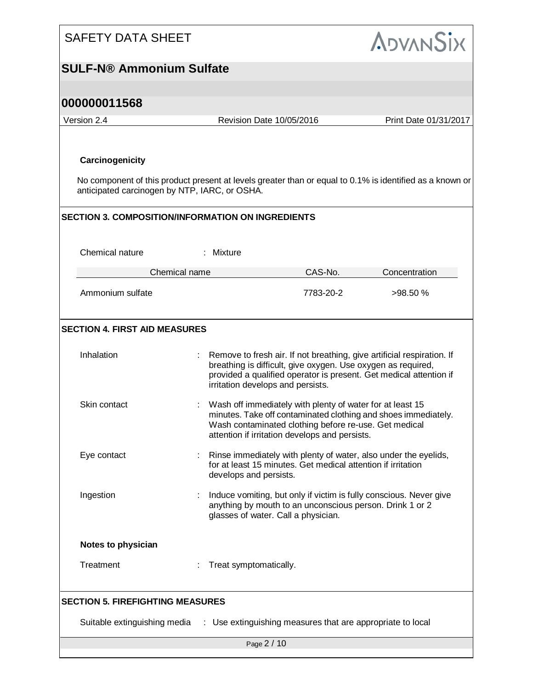| <b>SAFETY DATA SHEET</b>                                                                   |                                                                                                                                                                                                                                                   | <b>ADVANSIX</b>       |  |
|--------------------------------------------------------------------------------------------|---------------------------------------------------------------------------------------------------------------------------------------------------------------------------------------------------------------------------------------------------|-----------------------|--|
| <b>SULF-N® Ammonium Sulfate</b>                                                            |                                                                                                                                                                                                                                                   |                       |  |
|                                                                                            |                                                                                                                                                                                                                                                   |                       |  |
| 000000011568                                                                               |                                                                                                                                                                                                                                                   |                       |  |
| Version 2.4                                                                                | Revision Date 10/05/2016                                                                                                                                                                                                                          | Print Date 01/31/2017 |  |
| Carcinogenicity                                                                            |                                                                                                                                                                                                                                                   |                       |  |
| anticipated carcinogen by NTP, IARC, or OSHA.                                              | No component of this product present at levels greater than or equal to 0.1% is identified as a known or                                                                                                                                          |                       |  |
| <b>SECTION 3. COMPOSITION/INFORMATION ON INGREDIENTS</b>                                   |                                                                                                                                                                                                                                                   |                       |  |
| Chemical nature                                                                            | : Mixture                                                                                                                                                                                                                                         |                       |  |
| Chemical name                                                                              | CAS-No.                                                                                                                                                                                                                                           | Concentration         |  |
| Ammonium sulfate                                                                           | 7783-20-2                                                                                                                                                                                                                                         | >98.50%               |  |
| <b>SECTION 4. FIRST AID MEASURES</b>                                                       |                                                                                                                                                                                                                                                   |                       |  |
| Inhalation                                                                                 | Remove to fresh air. If not breathing, give artificial respiration. If<br>breathing is difficult, give oxygen. Use oxygen as required,<br>provided a qualified operator is present. Get medical attention if<br>irritation develops and persists. |                       |  |
| Skin contact                                                                               | Wash off immediately with plenty of water for at least 15<br>minutes. Take off contaminated clothing and shoes immediately.<br>Wash contaminated clothing before re-use. Get medical<br>attention if irritation develops and persists.            |                       |  |
| Eye contact                                                                                | Rinse immediately with plenty of water, also under the eyelids,<br>for at least 15 minutes. Get medical attention if irritation<br>develops and persists.                                                                                         |                       |  |
| Ingestion                                                                                  | Induce vomiting, but only if victim is fully conscious. Never give<br>anything by mouth to an unconscious person. Drink 1 or 2<br>glasses of water. Call a physician.                                                                             |                       |  |
| Notes to physician                                                                         |                                                                                                                                                                                                                                                   |                       |  |
| Treatment                                                                                  | Treat symptomatically.                                                                                                                                                                                                                            |                       |  |
| <b>SECTION 5. FIREFIGHTING MEASURES</b>                                                    |                                                                                                                                                                                                                                                   |                       |  |
| Suitable extinguishing media<br>: Use extinguishing measures that are appropriate to local |                                                                                                                                                                                                                                                   |                       |  |
| Page 2 / 10                                                                                |                                                                                                                                                                                                                                                   |                       |  |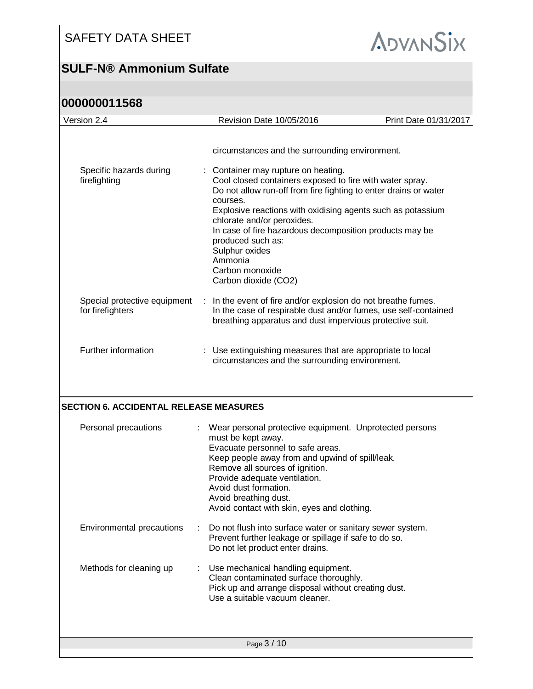## **SULF-N® Ammonium Sulfate**



| Version 2.4                                      | Revision Date 10/05/2016                                                                                                                                                                                                                                                                                                                                                                                                           | Print Date 01/31/2017 |
|--------------------------------------------------|------------------------------------------------------------------------------------------------------------------------------------------------------------------------------------------------------------------------------------------------------------------------------------------------------------------------------------------------------------------------------------------------------------------------------------|-----------------------|
|                                                  |                                                                                                                                                                                                                                                                                                                                                                                                                                    |                       |
|                                                  | circumstances and the surrounding environment.                                                                                                                                                                                                                                                                                                                                                                                     |                       |
| Specific hazards during<br>firefighting          | Container may rupture on heating.<br>Cool closed containers exposed to fire with water spray.<br>Do not allow run-off from fire fighting to enter drains or water<br>courses.<br>Explosive reactions with oxidising agents such as potassium<br>chlorate and/or peroxides.<br>In case of fire hazardous decomposition products may be<br>produced such as:<br>Sulphur oxides<br>Ammonia<br>Carbon monoxide<br>Carbon dioxide (CO2) |                       |
| Special protective equipment<br>for firefighters | In the event of fire and/or explosion do not breathe fumes.<br>$\mathcal{L}_{\mathcal{A}}$<br>In the case of respirable dust and/or fumes, use self-contained<br>breathing apparatus and dust impervious protective suit.                                                                                                                                                                                                          |                       |
| Further information                              | : Use extinguishing measures that are appropriate to local<br>circumstances and the surrounding environment.                                                                                                                                                                                                                                                                                                                       |                       |
| <b>SECTION 6. ACCIDENTAL RELEASE MEASURES</b>    |                                                                                                                                                                                                                                                                                                                                                                                                                                    |                       |
| Personal precautions                             | Wear personal protective equipment. Unprotected persons<br>must be kept away.<br>Evacuate personnel to safe areas.<br>Keep people away from and upwind of spill/leak.<br>Remove all sources of ignition.<br>Provide adequate ventilation.<br>Avoid dust formation.<br>Avoid breathing dust.<br>Avoid contact with skin, eyes and clothing.                                                                                         |                       |
| Environmental precautions                        | Do not flush into surface water or sanitary sewer system.<br>Prevent further leakage or spillage if safe to do so.<br>Do not let product enter drains.                                                                                                                                                                                                                                                                             |                       |
| Methods for cleaning up                          | Use mechanical handling equipment.<br>Clean contaminated surface thoroughly.<br>Pick up and arrange disposal without creating dust.<br>Use a suitable vacuum cleaner.                                                                                                                                                                                                                                                              |                       |
|                                                  | Page 3 / 10                                                                                                                                                                                                                                                                                                                                                                                                                        |                       |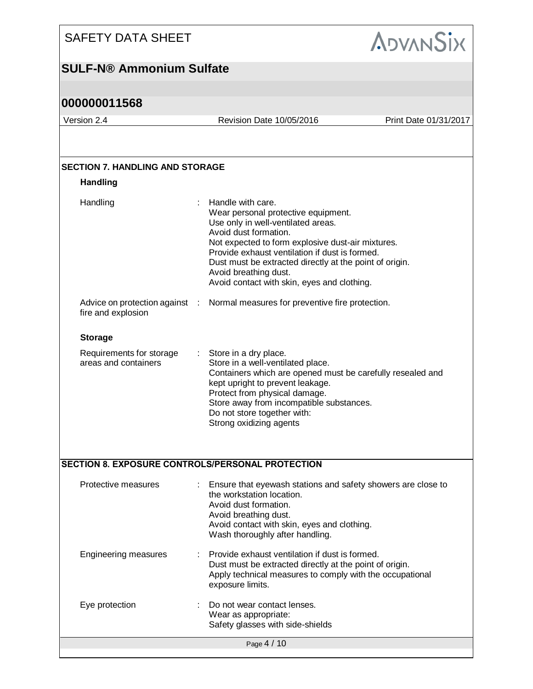

#### **SULF-N® Ammonium Sulfate**

| Version 2.4                                             | Revision Date 10/05/2016                                                                                                                                                                                                                                                                                                                                          | Print Date 01/31/2017 |
|---------------------------------------------------------|-------------------------------------------------------------------------------------------------------------------------------------------------------------------------------------------------------------------------------------------------------------------------------------------------------------------------------------------------------------------|-----------------------|
|                                                         |                                                                                                                                                                                                                                                                                                                                                                   |                       |
| <b>SECTION 7. HANDLING AND STORAGE</b>                  |                                                                                                                                                                                                                                                                                                                                                                   |                       |
| <b>Handling</b>                                         |                                                                                                                                                                                                                                                                                                                                                                   |                       |
| Handling                                                | Handle with care.<br>Wear personal protective equipment.<br>Use only in well-ventilated areas.<br>Avoid dust formation.<br>Not expected to form explosive dust-air mixtures.<br>Provide exhaust ventilation if dust is formed.<br>Dust must be extracted directly at the point of origin.<br>Avoid breathing dust.<br>Avoid contact with skin, eyes and clothing. |                       |
| Advice on protection against :<br>fire and explosion    | Normal measures for preventive fire protection.                                                                                                                                                                                                                                                                                                                   |                       |
| <b>Storage</b>                                          |                                                                                                                                                                                                                                                                                                                                                                   |                       |
| Requirements for storage<br>areas and containers        | Store in a dry place.<br>Store in a well-ventilated place.<br>Containers which are opened must be carefully resealed and<br>kept upright to prevent leakage.<br>Protect from physical damage.<br>Store away from incompatible substances.<br>Do not store together with:<br>Strong oxidizing agents                                                               |                       |
| <b>SECTION 8. EXPOSURE CONTROLS/PERSONAL PROTECTION</b> |                                                                                                                                                                                                                                                                                                                                                                   |                       |
| Protective measures                                     | Ensure that eyewash stations and safety showers are close to<br>the workstation location.<br>Avoid dust formation.<br>Avoid breathing dust.<br>Avoid contact with skin, eyes and clothing.<br>Wash thoroughly after handling.                                                                                                                                     |                       |
| <b>Engineering measures</b>                             | Provide exhaust ventilation if dust is formed.<br>Dust must be extracted directly at the point of origin.<br>Apply technical measures to comply with the occupational<br>exposure limits.                                                                                                                                                                         |                       |
| Eye protection                                          | Do not wear contact lenses.<br>Wear as appropriate:<br>Safety glasses with side-shields                                                                                                                                                                                                                                                                           |                       |
|                                                         | Page 4 / 10                                                                                                                                                                                                                                                                                                                                                       |                       |
|                                                         |                                                                                                                                                                                                                                                                                                                                                                   |                       |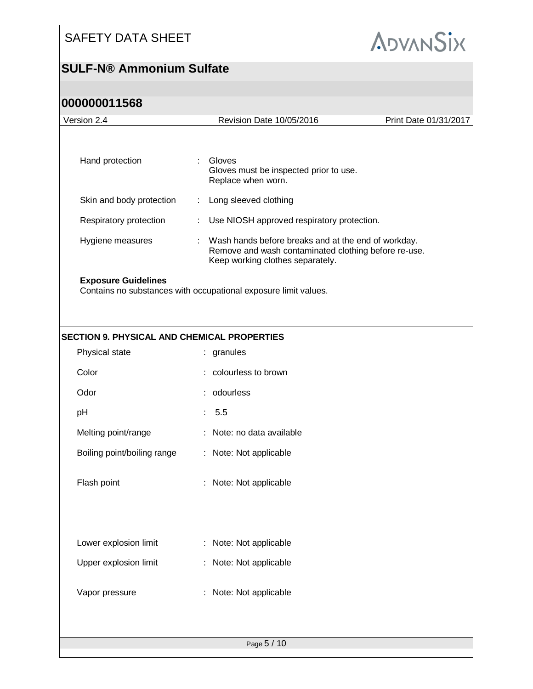

| 000000011568 |
|--------------|
|--------------|

| Version 2.4                                        | Revision Date 10/05/2016<br>Print Date 01/31/2017               |                                                                                                                                                 |  |  |  |
|----------------------------------------------------|-----------------------------------------------------------------|-------------------------------------------------------------------------------------------------------------------------------------------------|--|--|--|
| Hand protection                                    | ÷                                                               | Gloves<br>Gloves must be inspected prior to use.<br>Replace when worn.                                                                          |  |  |  |
| Skin and body protection                           | ÷.                                                              | Long sleeved clothing                                                                                                                           |  |  |  |
| Respiratory protection                             |                                                                 | Use NIOSH approved respiratory protection.                                                                                                      |  |  |  |
| Hygiene measures                                   | ÷.                                                              | Wash hands before breaks and at the end of workday.<br>Remove and wash contaminated clothing before re-use.<br>Keep working clothes separately. |  |  |  |
| <b>Exposure Guidelines</b>                         | Contains no substances with occupational exposure limit values. |                                                                                                                                                 |  |  |  |
| <b>SECTION 9. PHYSICAL AND CHEMICAL PROPERTIES</b> |                                                                 |                                                                                                                                                 |  |  |  |
| Physical state                                     |                                                                 | : granules                                                                                                                                      |  |  |  |
| Color                                              |                                                                 | colourless to brown                                                                                                                             |  |  |  |
| Odor                                               |                                                                 | odourless                                                                                                                                       |  |  |  |
| pH                                                 |                                                                 | 5.5                                                                                                                                             |  |  |  |
| Melting point/range                                |                                                                 | Note: no data available                                                                                                                         |  |  |  |
| Boiling point/boiling range                        |                                                                 | : Note: Not applicable                                                                                                                          |  |  |  |
| Flash point                                        |                                                                 | Note: Not applicable                                                                                                                            |  |  |  |
|                                                    |                                                                 |                                                                                                                                                 |  |  |  |
| Lower explosion limit                              |                                                                 | Note: Not applicable                                                                                                                            |  |  |  |
| Upper explosion limit                              |                                                                 | Note: Not applicable                                                                                                                            |  |  |  |
| Vapor pressure                                     |                                                                 | : Note: Not applicable                                                                                                                          |  |  |  |
|                                                    |                                                                 |                                                                                                                                                 |  |  |  |
|                                                    |                                                                 | Page 5 / 10                                                                                                                                     |  |  |  |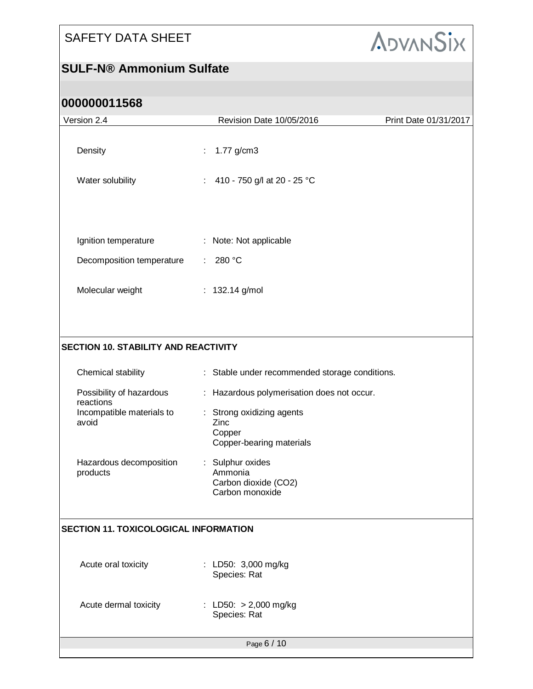

| Version 2.4                                                                         | Revision Date 10/05/2016<br>Print Date 01/31/2017 |  |  |  |  |
|-------------------------------------------------------------------------------------|---------------------------------------------------|--|--|--|--|
| Density                                                                             | 1.77 g/cm3<br>÷.                                  |  |  |  |  |
| Water solubility                                                                    | : 410 - 750 g/l at 20 - 25 °C                     |  |  |  |  |
|                                                                                     |                                                   |  |  |  |  |
| Ignition temperature                                                                | : Note: Not applicable                            |  |  |  |  |
| Decomposition temperature                                                           | : 280 °C                                          |  |  |  |  |
| Molecular weight                                                                    | : 132.14 g/mol                                    |  |  |  |  |
|                                                                                     |                                                   |  |  |  |  |
| <b>SECTION 10. STABILITY AND REACTIVITY</b>                                         |                                                   |  |  |  |  |
| Chemical stability                                                                  | : Stable under recommended storage conditions.    |  |  |  |  |
| Possibility of hazardous<br>: Hazardous polymerisation does not occur.<br>reactions |                                                   |  |  |  |  |
| Incompatible materials to<br>avoid                                                  | : Strong oxidizing agents<br>Zinc                 |  |  |  |  |
|                                                                                     | Copper<br>Copper-bearing materials                |  |  |  |  |
| Hazardous decomposition<br>products                                                 | : Sulphur oxides<br>Ammonia                       |  |  |  |  |
|                                                                                     | Carbon dioxide (CO2)<br>Carbon monoxide           |  |  |  |  |
|                                                                                     |                                                   |  |  |  |  |
| <b>SECTION 11. TOXICOLOGICAL INFORMATION</b>                                        |                                                   |  |  |  |  |
|                                                                                     |                                                   |  |  |  |  |
| Acute oral toxicity                                                                 | : LD50: 3,000 mg/kg<br>Species: Rat               |  |  |  |  |
| Acute dermal toxicity                                                               | : LD50: $> 2,000$ mg/kg<br>Species: Rat           |  |  |  |  |
|                                                                                     |                                                   |  |  |  |  |
|                                                                                     | Page 6 / 10                                       |  |  |  |  |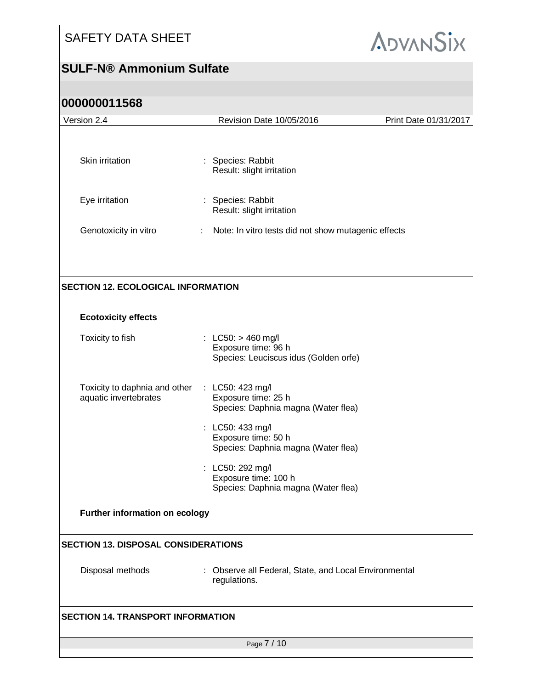## **SULF-N® Ammonium Sulfate**



| Version 2.4                                            | Revision Date 10/05/2016                                                             | Print Date 01/31/2017 |
|--------------------------------------------------------|--------------------------------------------------------------------------------------|-----------------------|
|                                                        |                                                                                      |                       |
| Skin irritation                                        | : Species: Rabbit<br>Result: slight irritation                                       |                       |
| Eye irritation                                         | Species: Rabbit<br>Result: slight irritation                                         |                       |
| Genotoxicity in vitro                                  | Note: In vitro tests did not show mutagenic effects<br>÷                             |                       |
|                                                        |                                                                                      |                       |
| <b>SECTION 12. ECOLOGICAL INFORMATION</b>              |                                                                                      |                       |
| <b>Ecotoxicity effects</b>                             |                                                                                      |                       |
| Toxicity to fish                                       | : LC50: $> 460$ mg/l<br>Exposure time: 96 h<br>Species: Leuciscus idus (Golden orfe) |                       |
| Toxicity to daphnia and other<br>aquatic invertebrates | : LC50: 423 mg/l<br>Exposure time: 25 h<br>Species: Daphnia magna (Water flea)       |                       |
|                                                        | LC50: 433 mg/l<br>Exposure time: 50 h<br>Species: Daphnia magna (Water flea)         |                       |
|                                                        | LC50: 292 mg/l<br>Exposure time: 100 h<br>Species: Daphnia magna (Water flea)        |                       |
| Further information on ecology                         |                                                                                      |                       |
| <b>SECTION 13. DISPOSAL CONSIDERATIONS</b>             |                                                                                      |                       |
| Disposal methods                                       | Observe all Federal, State, and Local Environmental<br>regulations.                  |                       |
| <b>SECTION 14. TRANSPORT INFORMATION</b>               |                                                                                      |                       |
|                                                        | Page 7 / 10                                                                          |                       |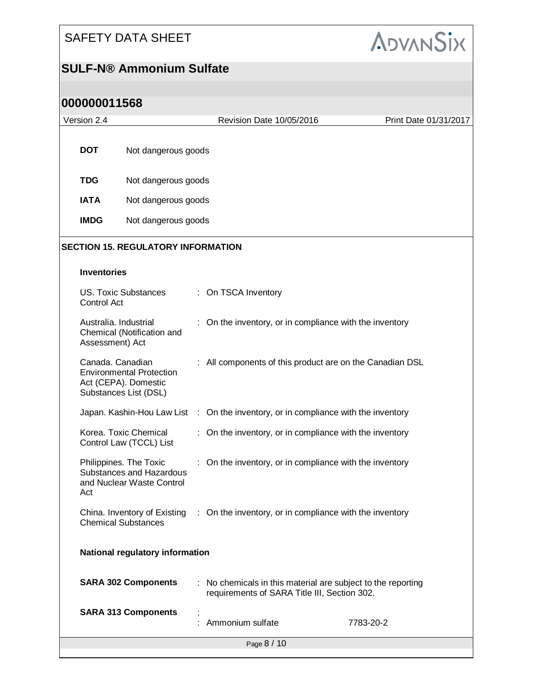

#### **SULF-N® Ammonium Sulfate**

| Version 2.4                     |                                          |                                                                                  |                                                                                      | Revision Date 10/05/2016                                                                                     | Print Date 01/31/2017 |  |
|---------------------------------|------------------------------------------|----------------------------------------------------------------------------------|--------------------------------------------------------------------------------------|--------------------------------------------------------------------------------------------------------------|-----------------------|--|
|                                 | <b>DOT</b>                               | Not dangerous goods                                                              |                                                                                      |                                                                                                              |                       |  |
|                                 | <b>TDG</b>                               | Not dangerous goods                                                              |                                                                                      |                                                                                                              |                       |  |
|                                 | <b>IATA</b>                              | Not dangerous goods                                                              |                                                                                      |                                                                                                              |                       |  |
|                                 | <b>IMDG</b>                              | Not dangerous goods                                                              |                                                                                      |                                                                                                              |                       |  |
|                                 |                                          | <b>SECTION 15. REGULATORY INFORMATION</b>                                        |                                                                                      |                                                                                                              |                       |  |
|                                 | <b>Inventories</b>                       |                                                                                  |                                                                                      |                                                                                                              |                       |  |
|                                 | Control Act                              | <b>US. Toxic Substances</b>                                                      |                                                                                      | : On TSCA Inventory                                                                                          |                       |  |
|                                 | Australia. Industrial<br>Assessment) Act | Chemical (Notification and                                                       |                                                                                      | On the inventory, or in compliance with the inventory                                                        |                       |  |
|                                 | Canada. Canadian                         | <b>Environmental Protection</b><br>Act (CEPA). Domestic<br>Substances List (DSL) |                                                                                      | : All components of this product are on the Canadian DSL                                                     |                       |  |
|                                 |                                          |                                                                                  |                                                                                      | Japan. Kashin-Hou Law List : On the inventory, or in compliance with the inventory                           |                       |  |
|                                 |                                          | Korea. Toxic Chemical<br>Control Law (TCCL) List                                 | t.                                                                                   | On the inventory, or in compliance with the inventory                                                        |                       |  |
|                                 | Act                                      | Philippines. The Toxic<br>Substances and Hazardous<br>and Nuclear Waste Control  |                                                                                      | : On the inventory, or in compliance with the inventory                                                      |                       |  |
| <b>Chemical Substances</b>      |                                          |                                                                                  | China. Inventory of Existing : On the inventory, or in compliance with the inventory |                                                                                                              |                       |  |
| National regulatory information |                                          |                                                                                  |                                                                                      |                                                                                                              |                       |  |
|                                 |                                          | <b>SARA 302 Components</b>                                                       |                                                                                      | : No chemicals in this material are subject to the reporting<br>requirements of SARA Title III, Section 302. |                       |  |
| <b>SARA 313 Components</b>      |                                          |                                                                                  |                                                                                      | : Ammonium sulfate                                                                                           | 7783-20-2             |  |
| Page 8 / 10                     |                                          |                                                                                  |                                                                                      |                                                                                                              |                       |  |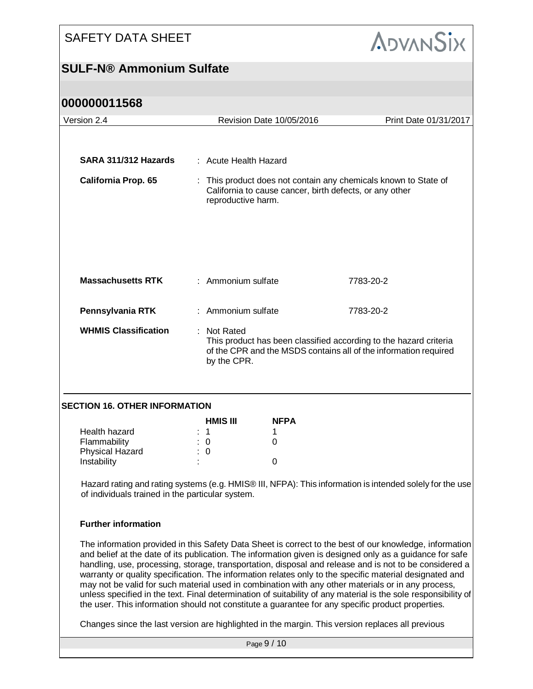

| Version 2.4                                                                                                                                                  |                         | Revision Date 10/05/2016                                                                                                                                            | Print Date 01/31/2017                                                                                                                                                                                                                                                                                                                                                                                                                                                                                                                                                                                                                                                                                                                                                 |  |
|--------------------------------------------------------------------------------------------------------------------------------------------------------------|-------------------------|---------------------------------------------------------------------------------------------------------------------------------------------------------------------|-----------------------------------------------------------------------------------------------------------------------------------------------------------------------------------------------------------------------------------------------------------------------------------------------------------------------------------------------------------------------------------------------------------------------------------------------------------------------------------------------------------------------------------------------------------------------------------------------------------------------------------------------------------------------------------------------------------------------------------------------------------------------|--|
|                                                                                                                                                              |                         |                                                                                                                                                                     |                                                                                                                                                                                                                                                                                                                                                                                                                                                                                                                                                                                                                                                                                                                                                                       |  |
| SARA 311/312 Hazards                                                                                                                                         |                         |                                                                                                                                                                     |                                                                                                                                                                                                                                                                                                                                                                                                                                                                                                                                                                                                                                                                                                                                                                       |  |
|                                                                                                                                                              |                         | : Acute Health Hazard                                                                                                                                               |                                                                                                                                                                                                                                                                                                                                                                                                                                                                                                                                                                                                                                                                                                                                                                       |  |
| <b>California Prop. 65</b>                                                                                                                                   |                         | : This product does not contain any chemicals known to State of<br>California to cause cancer, birth defects, or any other<br>reproductive harm.                    |                                                                                                                                                                                                                                                                                                                                                                                                                                                                                                                                                                                                                                                                                                                                                                       |  |
| <b>Massachusetts RTK</b>                                                                                                                                     |                         | : Ammonium sulfate                                                                                                                                                  | 7783-20-2                                                                                                                                                                                                                                                                                                                                                                                                                                                                                                                                                                                                                                                                                                                                                             |  |
|                                                                                                                                                              |                         |                                                                                                                                                                     |                                                                                                                                                                                                                                                                                                                                                                                                                                                                                                                                                                                                                                                                                                                                                                       |  |
| Pennsylvania RTK                                                                                                                                             |                         | : Ammonium sulfate                                                                                                                                                  | 7783-20-2                                                                                                                                                                                                                                                                                                                                                                                                                                                                                                                                                                                                                                                                                                                                                             |  |
| <b>WHMIS Classification</b>                                                                                                                                  |                         | : Not Rated<br>This product has been classified according to the hazard criteria<br>of the CPR and the MSDS contains all of the information required<br>by the CPR. |                                                                                                                                                                                                                                                                                                                                                                                                                                                                                                                                                                                                                                                                                                                                                                       |  |
| <b>SECTION 16. OTHER INFORMATION</b>                                                                                                                         |                         |                                                                                                                                                                     |                                                                                                                                                                                                                                                                                                                                                                                                                                                                                                                                                                                                                                                                                                                                                                       |  |
|                                                                                                                                                              | <b>HMIS III</b>         | <b>NFPA</b>                                                                                                                                                         |                                                                                                                                                                                                                                                                                                                                                                                                                                                                                                                                                                                                                                                                                                                                                                       |  |
| Health hazard                                                                                                                                                | $\mathbf{1}$            | 1                                                                                                                                                                   |                                                                                                                                                                                                                                                                                                                                                                                                                                                                                                                                                                                                                                                                                                                                                                       |  |
| Flammability                                                                                                                                                 | $\overline{\mathbf{0}}$ | 0                                                                                                                                                                   |                                                                                                                                                                                                                                                                                                                                                                                                                                                                                                                                                                                                                                                                                                                                                                       |  |
| Physical Hazard<br>Instability                                                                                                                               | : 0                     | $\mathbf 0$                                                                                                                                                         |                                                                                                                                                                                                                                                                                                                                                                                                                                                                                                                                                                                                                                                                                                                                                                       |  |
| Hazard rating and rating systems (e.g. HMIS® III, NFPA): This information is intended solely for the use<br>of individuals trained in the particular system. |                         |                                                                                                                                                                     |                                                                                                                                                                                                                                                                                                                                                                                                                                                                                                                                                                                                                                                                                                                                                                       |  |
| <b>Further information</b>                                                                                                                                   |                         |                                                                                                                                                                     |                                                                                                                                                                                                                                                                                                                                                                                                                                                                                                                                                                                                                                                                                                                                                                       |  |
|                                                                                                                                                              |                         |                                                                                                                                                                     | The information provided in this Safety Data Sheet is correct to the best of our knowledge, information<br>and belief at the date of its publication. The information given is designed only as a guidance for safe<br>handling, use, processing, storage, transportation, disposal and release and is not to be considered a<br>warranty or quality specification. The information relates only to the specific material designated and<br>may not be valid for such material used in combination with any other materials or in any process,<br>unless specified in the text. Final determination of suitability of any material is the sole responsibility of<br>the user. This information should not constitute a guarantee for any specific product properties. |  |
|                                                                                                                                                              |                         |                                                                                                                                                                     | Changes since the last version are highlighted in the margin. This version replaces all previous                                                                                                                                                                                                                                                                                                                                                                                                                                                                                                                                                                                                                                                                      |  |
|                                                                                                                                                              |                         | Page 9 / 10                                                                                                                                                         |                                                                                                                                                                                                                                                                                                                                                                                                                                                                                                                                                                                                                                                                                                                                                                       |  |